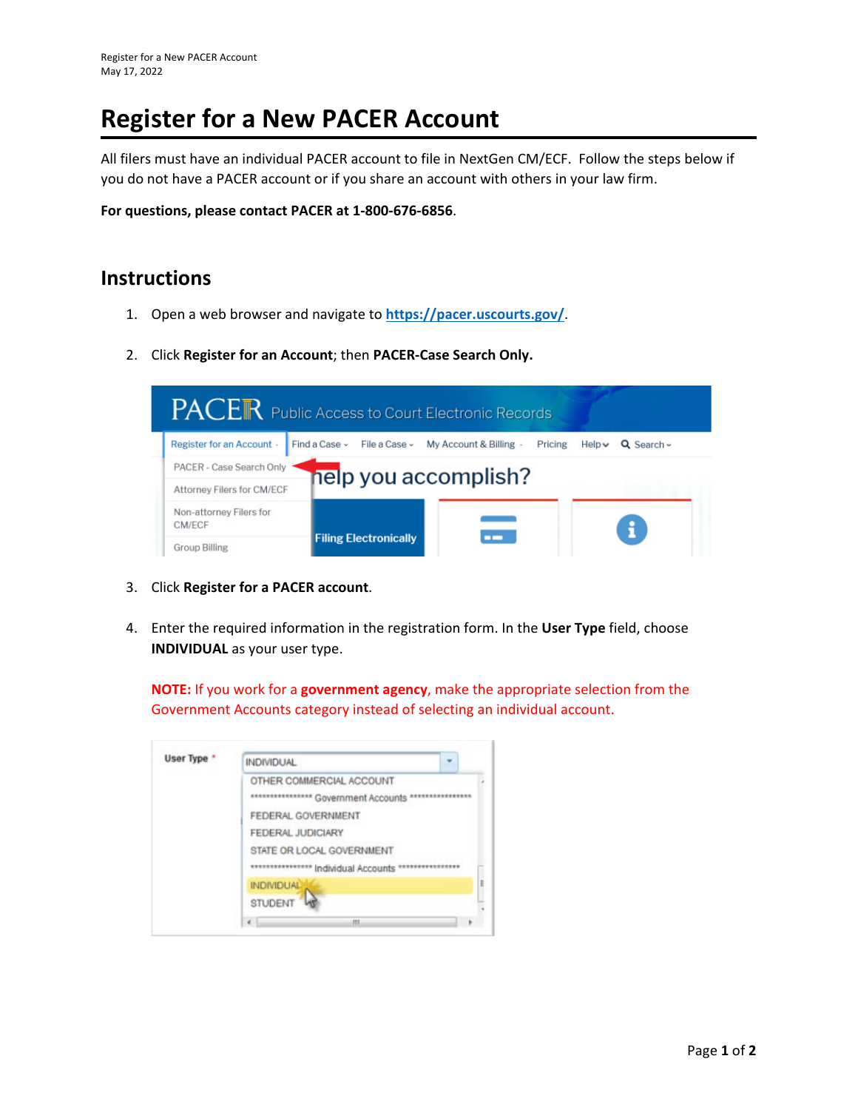## **Register for a New PACER Account**

All filers must have an individual PACER account to file in NextGen CM/ECF. Follow the steps below if you do not have a PACER account or if you share an account with others in your law firm.

**For questions, please contact PACER at 1‐800‐676‐6856**.

## **Instructions**

- 1. Open a web browser and navigate to **https://pacer.uscourts.gov/**.
- 2. Click **Register for an Account**; then **PACER‐Case Search Only.**



- 3. Click **Register for a PACER account**.
- 4. Enter the required information in the registration form. In the **User Type** field, choose **INDIVIDUAL** as your user type.

**NOTE:** If you work for a **government agency**, make the appropriate selection from the Government Accounts category instead of selecting an individual account.

| User Type * | <b>INDIVIDUAL</b>                                                   |  |
|-------------|---------------------------------------------------------------------|--|
|             | OTHER COMMERCIAL ACCOUNT<br>*** Government Accounts<br>************ |  |
|             | FEDERAL GOVERNMENT                                                  |  |
|             | FEDERAL JUDICIARY                                                   |  |
|             | STATE OR LOCAL GOVERNMENT                                           |  |
|             | *************** Individual Accounts *********                       |  |
|             | <b>INDIVIDUAL</b>                                                   |  |
|             | <b>STUDENT</b>                                                      |  |